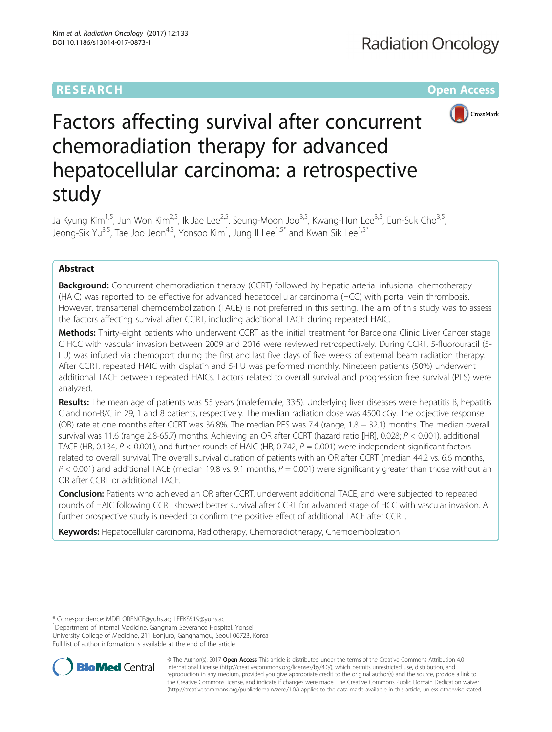# **RESEARCH CHE Open Access**



# Factors affecting survival after concurrent chemoradiation therapy for advanced hepatocellular carcinoma: a retrospective study

Ja Kyung Kim<sup>1,5</sup>, Jun Won Kim<sup>2,5</sup>, Ik Jae Lee<sup>2,5</sup>, Seung-Moon Joo<sup>3,5</sup>, Kwang-Hun Lee<sup>3,5</sup>, Eun-Suk Cho<sup>3,5</sup>, Jeong-Sik Yu<sup>3,5</sup>, Tae Joo Jeon<sup>4,5</sup>, Yonsoo Kim<sup>1</sup>, Jung Il Lee<sup>1,5\*</sup> and Kwan Sik Lee<sup>1,5\*</sup>

# Abstract

**Background:** Concurrent chemoradiation therapy (CCRT) followed by hepatic arterial infusional chemotherapy (HAIC) was reported to be effective for advanced hepatocellular carcinoma (HCC) with portal vein thrombosis. However, transarterial chemoembolization (TACE) is not preferred in this setting. The aim of this study was to assess the factors affecting survival after CCRT, including additional TACE during repeated HAIC.

Methods: Thirty-eight patients who underwent CCRT as the initial treatment for Barcelona Clinic Liver Cancer stage C HCC with vascular invasion between 2009 and 2016 were reviewed retrospectively. During CCRT, 5-fluorouracil (5- FU) was infused via chemoport during the first and last five days of five weeks of external beam radiation therapy. After CCRT, repeated HAIC with cisplatin and 5-FU was performed monthly. Nineteen patients (50%) underwent additional TACE between repeated HAICs. Factors related to overall survival and progression free survival (PFS) were analyzed.

Results: The mean age of patients was 55 years (male:female, 33:5). Underlying liver diseases were hepatitis B, hepatitis C and non-B/C in 29, 1 and 8 patients, respectively. The median radiation dose was 4500 cGy. The objective response (OR) rate at one months after CCRT was 36.8%. The median PFS was 7.4 (range, 1.8 − 32.1) months. The median overall survival was 11.6 (range 2.8-65.7) months. Achieving an OR after CCRT (hazard ratio [HR], 0.028; P < 0.001), additional TACE (HR, 0.134,  $P < 0.001$ ), and further rounds of HAIC (HR, 0.742,  $P = 0.001$ ) were independent significant factors related to overall survival. The overall survival duration of patients with an OR after CCRT (median 44.2 vs. 6.6 months,  $P < 0.001$ ) and additional TACE (median 19.8 vs. 9.1 months,  $P = 0.001$ ) were significantly greater than those without an OR after CCRT or additional TACE.

Conclusion: Patients who achieved an OR after CCRT, underwent additional TACE, and were subjected to repeated rounds of HAIC following CCRT showed better survival after CCRT for advanced stage of HCC with vascular invasion. A further prospective study is needed to confirm the positive effect of additional TACE after CCRT.

Keywords: Hepatocellular carcinoma, Radiotherapy, Chemoradiotherapy, Chemoembolization

<sup>1</sup>Department of Internal Medicine, Gangnam Severance Hospital, Yonsei University College of Medicine, 211 Eonjuro, Gangnamgu, Seoul 06723, Korea Full list of author information is available at the end of the article



© The Author(s). 2017 **Open Access** This article is distributed under the terms of the Creative Commons Attribution 4.0 International License [\(http://creativecommons.org/licenses/by/4.0/](http://creativecommons.org/licenses/by/4.0/)), which permits unrestricted use, distribution, and reproduction in any medium, provided you give appropriate credit to the original author(s) and the source, provide a link to the Creative Commons license, and indicate if changes were made. The Creative Commons Public Domain Dedication waiver [\(http://creativecommons.org/publicdomain/zero/1.0/](http://creativecommons.org/publicdomain/zero/1.0/)) applies to the data made available in this article, unless otherwise stated.

<sup>\*</sup> Correspondence: [MDFLORENCE@yuhs.ac;](mailto:MDFLORENCE@yuhs.ac) [LEEKS519@yuhs.ac](mailto:LEEKS519@yuhs.ac) <sup>1</sup>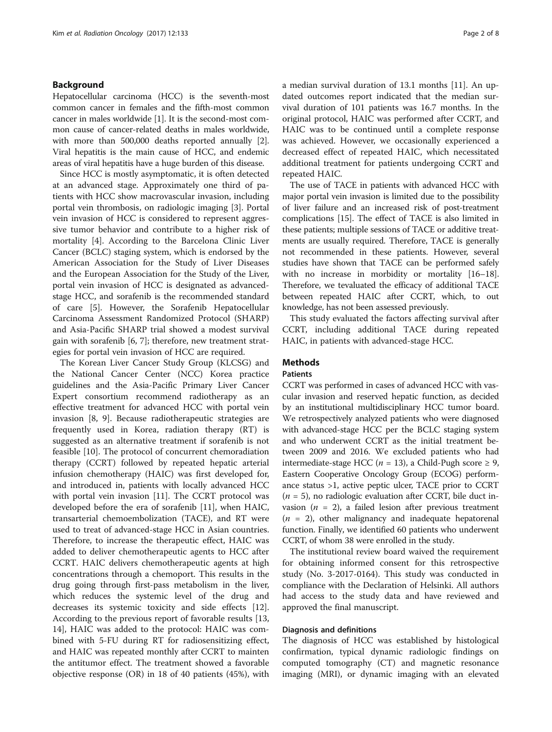# Background

Hepatocellular carcinoma (HCC) is the seventh-most common cancer in females and the fifth-most common cancer in males worldwide [\[1](#page-7-0)]. It is the second-most common cause of cancer-related deaths in males worldwide, with more than 500,000 deaths reported annually [[2](#page-7-0)]. Viral hepatitis is the main cause of HCC, and endemic areas of viral hepatitis have a huge burden of this disease.

Since HCC is mostly asymptomatic, it is often detected at an advanced stage. Approximately one third of patients with HCC show macrovascular invasion, including portal vein thrombosis, on radiologic imaging [[3](#page-7-0)]. Portal vein invasion of HCC is considered to represent aggressive tumor behavior and contribute to a higher risk of mortality [\[4\]](#page-7-0). According to the Barcelona Clinic Liver Cancer (BCLC) staging system, which is endorsed by the American Association for the Study of Liver Diseases and the European Association for the Study of the Liver, portal vein invasion of HCC is designated as advancedstage HCC, and sorafenib is the recommended standard of care [\[5](#page-7-0)]. However, the Sorafenib Hepatocellular Carcinoma Assessment Randomized Protocol (SHARP) and Asia-Pacific SHARP trial showed a modest survival gain with sorafenib [[6, 7\]](#page-7-0); therefore, new treatment strategies for portal vein invasion of HCC are required.

The Korean Liver Cancer Study Group (KLCSG) and the National Cancer Center (NCC) Korea practice guidelines and the Asia-Pacific Primary Liver Cancer Expert consortium recommend radiotherapy as an effective treatment for advanced HCC with portal vein invasion [[8, 9](#page-7-0)]. Because radiotherapeutic strategies are frequently used in Korea, radiation therapy (RT) is suggested as an alternative treatment if sorafenib is not feasible [\[10\]](#page-7-0). The protocol of concurrent chemoradiation therapy (CCRT) followed by repeated hepatic arterial infusion chemotherapy (HAIC) was first developed for, and introduced in, patients with locally advanced HCC with portal vein invasion [\[11](#page-7-0)]. The CCRT protocol was developed before the era of sorafenib [\[11\]](#page-7-0), when HAIC, transarterial chemoembolization (TACE), and RT were used to treat of advanced-stage HCC in Asian countries. Therefore, to increase the therapeutic effect, HAIC was added to deliver chemotherapeutic agents to HCC after CCRT. HAIC delivers chemotherapeutic agents at high concentrations through a chemoport. This results in the drug going through first-pass metabolism in the liver, which reduces the systemic level of the drug and decreases its systemic toxicity and side effects [\[12](#page-7-0)]. According to the previous report of favorable results [[13](#page-7-0), [14\]](#page-7-0), HAIC was added to the protocol: HAIC was combined with 5-FU during RT for radiosensitizing effect, and HAIC was repeated monthly after CCRT to mainten the antitumor effect. The treatment showed a favorable objective response (OR) in 18 of 40 patients (45%), with a median survival duration of 13.1 months [[11\]](#page-7-0). An updated outcomes report indicated that the median survival duration of 101 patients was 16.7 months. In the original protocol, HAIC was performed after CCRT, and HAIC was to be continued until a complete response was achieved. However, we occasionally experienced a decreased effect of repeated HAIC, which necessitated additional treatment for patients undergoing CCRT and repeated HAIC.

The use of TACE in patients with advanced HCC with major portal vein invasion is limited due to the possibility of liver failure and an increased risk of post-treatment complications [\[15\]](#page-7-0). The effect of TACE is also limited in these patients; multiple sessions of TACE or additive treatments are usually required. Therefore, TACE is generally not recommended in these patients. However, several studies have shown that TACE can be performed safely with no increase in morbidity or mortality [\[16](#page-7-0)–[18](#page-7-0)]. Therefore, we tevaluated the efficacy of additional TACE between repeated HAIC after CCRT, which, to out knowledge, has not been assessed previously.

This study evaluated the factors affecting survival after CCRT, including additional TACE during repeated HAIC, in patients with advanced-stage HCC.

# Methods

# **Patients**

CCRT was performed in cases of advanced HCC with vascular invasion and reserved hepatic function, as decided by an institutional multidisciplinary HCC tumor board. We retrospectively analyzed patients who were diagnosed with advanced-stage HCC per the BCLC staging system and who underwent CCRT as the initial treatment between 2009 and 2016. We excluded patients who had intermediate-stage HCC ( $n = 13$ ), a Child-Pugh score  $\geq 9$ , Eastern Cooperative Oncology Group (ECOG) performance status >1, active peptic ulcer, TACE prior to CCRT  $(n = 5)$ , no radiologic evaluation after CCRT, bile duct invasion ( $n = 2$ ), a failed lesion after previous treatment  $(n = 2)$ , other malignancy and inadequate hepatorenal function. Finally, we identified 60 patients who underwent CCRT, of whom 38 were enrolled in the study.

The institutional review board waived the requirement for obtaining informed consent for this retrospective study (No. 3-2017-0164). This study was conducted in compliance with the Declaration of Helsinki. All authors had access to the study data and have reviewed and approved the final manuscript.

#### Diagnosis and definitions

The diagnosis of HCC was established by histological confirmation, typical dynamic radiologic findings on computed tomography (CT) and magnetic resonance imaging (MRI), or dynamic imaging with an elevated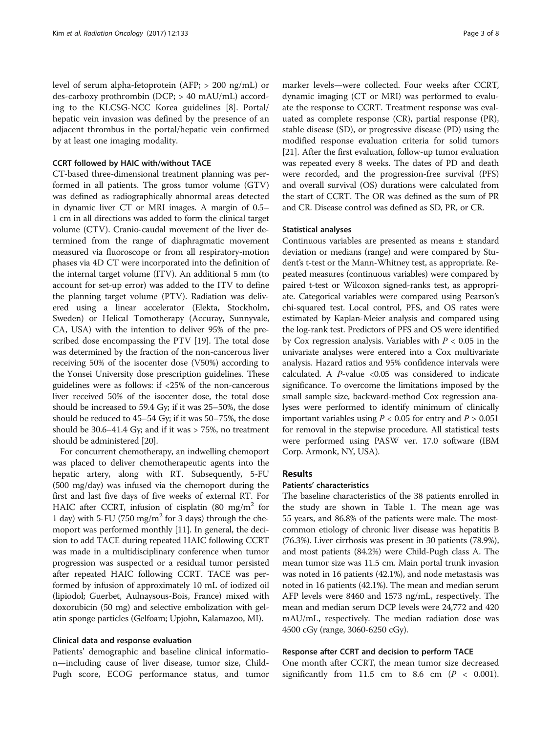level of serum alpha-fetoprotein (AFP; > 200 ng/mL) or des-carboxy prothrombin (DCP; > 40 mAU/mL) according to the KLCSG-NCC Korea guidelines [[8\]](#page-7-0). Portal/ hepatic vein invasion was defined by the presence of an adjacent thrombus in the portal/hepatic vein confirmed by at least one imaging modality.

# CCRT followed by HAIC with/without TACE

CT-based three-dimensional treatment planning was performed in all patients. The gross tumor volume (GTV) was defined as radiographically abnormal areas detected in dynamic liver CT or MRI images. A margin of 0.5– 1 cm in all directions was added to form the clinical target volume (CTV). Cranio-caudal movement of the liver determined from the range of diaphragmatic movement measured via fluoroscope or from all respiratory-motion phases via 4D CT were incorporated into the definition of the internal target volume (ITV). An additional 5 mm (to account for set-up error) was added to the ITV to define the planning target volume (PTV). Radiation was delivered using a linear accelerator (Elekta, Stockholm, Sweden) or Helical Tomotherapy (Accuray, Sunnyvale, CA, USA) with the intention to deliver 95% of the prescribed dose encompassing the PTV [[19](#page-7-0)]. The total dose was determined by the fraction of the non-cancerous liver receiving 50% of the isocenter dose (V50%) according to the Yonsei University dose prescription guidelines. These guidelines were as follows: if <25% of the non-cancerous liver received 50% of the isocenter dose, the total dose should be increased to 59.4 Gy; if it was 25–50%, the dose should be reduced to 45–54 Gy; if it was 50–75%, the dose should be 30.6–41.4 Gy; and if it was > 75%, no treatment should be administered [[20](#page-7-0)].

For concurrent chemotherapy, an indwelling chemoport was placed to deliver chemotherapeutic agents into the hepatic artery, along with RT. Subsequently, 5-FU (500 mg/day) was infused via the chemoport during the first and last five days of five weeks of external RT. For HAIC after CCRT, infusion of cisplatin  $(80 \text{ mg/m}^2 \text{ for }$ 1 day) with 5-FU (750 mg/m<sup>2</sup> for 3 days) through the chemoport was performed monthly [\[11\]](#page-7-0). In general, the decision to add TACE during repeated HAIC following CCRT was made in a multidisciplinary conference when tumor progression was suspected or a residual tumor persisted after repeated HAIC following CCRT. TACE was performed by infusion of approximately 10 mL of iodized oil (lipiodol; Guerbet, Aulnaysous-Bois, France) mixed with doxorubicin (50 mg) and selective embolization with gelatin sponge particles (Gelfoam; Upjohn, Kalamazoo, MI).

# Clinical data and response evaluation

Patients' demographic and baseline clinical information—including cause of liver disease, tumor size, Child-Pugh score, ECOG performance status, and tumor

marker levels—were collected. Four weeks after CCRT, dynamic imaging (CT or MRI) was performed to evaluate the response to CCRT. Treatment response was evaluated as complete response (CR), partial response (PR), stable disease (SD), or progressive disease (PD) using the modified response evaluation criteria for solid tumors [[21\]](#page-7-0). After the first evaluation, follow-up tumor evaluation was repeated every 8 weeks. The dates of PD and death were recorded, and the progression-free survival (PFS) and overall survival (OS) durations were calculated from the start of CCRT. The OR was defined as the sum of PR and CR. Disease control was defined as SD, PR, or CR.

# Statistical analyses

Continuous variables are presented as means ± standard deviation or medians (range) and were compared by Student's t-test or the Mann-Whitney test, as appropriate. Repeated measures (continuous variables) were compared by paired t-test or Wilcoxon signed-ranks test, as appropriate. Categorical variables were compared using Pearson's chi-squared test. Local control, PFS, and OS rates were estimated by Kaplan-Meier analysis and compared using the log-rank test. Predictors of PFS and OS were identified by Cox regression analysis. Variables with  $P < 0.05$  in the univariate analyses were entered into a Cox multivariate analysis. Hazard ratios and 95% confidence intervals were calculated. A  $P$ -value <0.05 was considered to indicate significance. To overcome the limitations imposed by the small sample size, backward-method Cox regression analyses were performed to identify minimum of clinically important variables using  $P < 0.05$  for entry and  $P > 0.051$ for removal in the stepwise procedure. All statistical tests were performed using PASW ver. 17.0 software (IBM Corp. Armonk, NY, USA).

# Results

# Patients' characteristics

The baseline characteristics of the 38 patients enrolled in the study are shown in Table [1.](#page-3-0) The mean age was 55 years, and 86.8% of the patients were male. The mostcommon etiology of chronic liver disease was hepatitis B (76.3%). Liver cirrhosis was present in 30 patients (78.9%), and most patients (84.2%) were Child-Pugh class A. The mean tumor size was 11.5 cm. Main portal trunk invasion was noted in 16 patients (42.1%), and node metastasis was noted in 16 patients (42.1%). The mean and median serum AFP levels were 8460 and 1573 ng/mL, respectively. The mean and median serum DCP levels were 24,772 and 420 mAU/mL, respectively. The median radiation dose was 4500 cGy (range, 3060-6250 cGy).

# Response after CCRT and decision to perform TACE

One month after CCRT, the mean tumor size decreased significantly from 11.5 cm to 8.6 cm  $(P < 0.001)$ .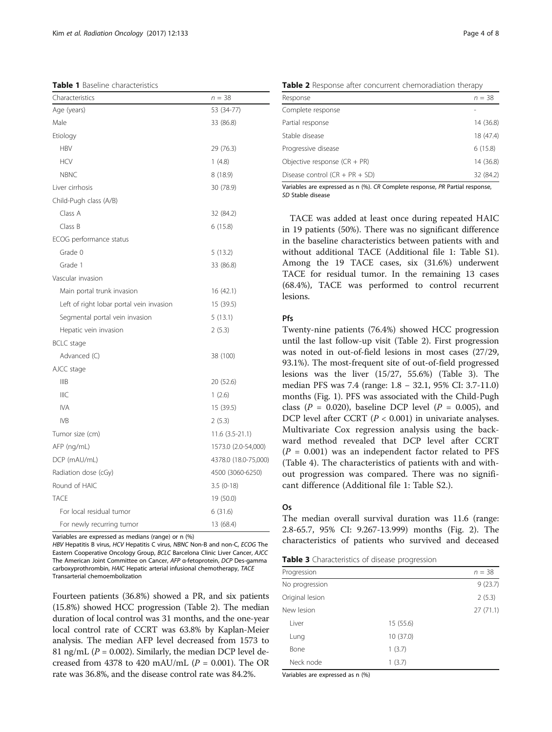<span id="page-3-0"></span>Table 1 Baseline characteristics

| Characteristics                          | $n = 38$             |
|------------------------------------------|----------------------|
| Age (years)                              | 53 (34-77)           |
| Male                                     | 33 (86.8)            |
| Etiology                                 |                      |
| <b>HBV</b>                               | 29 (76.3)            |
| <b>HCV</b>                               | 1(4.8)               |
| <b>NBNC</b>                              | 8(18.9)              |
| Liver cirrhosis                          | 30 (78.9)            |
| Child-Pugh class (A/B)                   |                      |
| Class A                                  | 32 (84.2)            |
| Class B                                  | 6(15.8)              |
| ECOG performance status                  |                      |
| Grade 0                                  | 5(13.2)              |
| Grade 1                                  | 33 (86.8)            |
| Vascular invasion                        |                      |
| Main portal trunk invasion               | 16 (42.1)            |
| Left of right lobar portal vein invasion | 15 (39.5)            |
| Segmental portal vein invasion           | 5(13.1)              |
| Hepatic vein invasion                    | 2(5.3)               |
| BCLC stage                               |                      |
| Advanced (C)                             | 38 (100)             |
| AJCC stage                               |                      |
| <b>IIIB</b>                              | 20 (52.6)            |
| <b>IIIC</b>                              | 1(2.6)               |
| <b>IVA</b>                               | 15 (39.5)            |
| <b>IVB</b>                               | 2(5.3)               |
| Tumor size (cm)                          | 11.6 (3.5-21.1)      |
| AFP (ng/mL)                              | 1573.0 (2.0-54,000)  |
| DCP (mAU/mL)                             | 4378.0 (18.0-75,000) |
| Radiation dose (cGy)                     | 4500 (3060-6250)     |
| Round of HAIC                            | $3.5(0-18)$          |
| <b>TACE</b>                              | 19 (50.0)            |
| For local residual tumor                 | 6(31.6)              |
| For newly recurring tumor                | 13 (68.4)            |

Variables are expressed as medians (range) or n (%)

HBV Hepatitis B virus, HCV Hepatitis C virus, NBNC Non-B and non-C, ECOG The Eastern Cooperative Oncology Group, BCLC Barcelona Clinic Liver Cancer, AJCC The American Joint Committee on Cancer, AFP α-fetoprotein, DCP Des-gamma carboxyprothrombin, HAIC Hepatic arterial infusional chemotherapy, TACE Transarterial chemoembolization

Fourteen patients (36.8%) showed a PR, and six patients (15.8%) showed HCC progression (Table 2). The median duration of local control was 31 months, and the one-year local control rate of CCRT was 63.8% by Kaplan-Meier analysis. The median AFP level decreased from 1573 to 81 ng/mL ( $P = 0.002$ ). Similarly, the median DCP level decreased from 4378 to 420 mAU/mL  $(P = 0.001)$ . The OR rate was 36.8%, and the disease control rate was 84.2%.

Table 2 Response after concurrent chemoradiation therapy

| Response                         | $n = 38$  |
|----------------------------------|-----------|
| Complete response                |           |
| Partial response                 | 14 (36.8) |
| Stable disease                   | 18 (47.4) |
| Progressive disease              | 6(15.8)   |
| Objective response (CR + PR)     | 14 (36.8) |
| Disease control $(CR + PR + SD)$ | 32 (84.2) |

Variables are expressed as n (%). CR Complete response, PR Partial response, SD Stable disease

TACE was added at least once during repeated HAIC in 19 patients (50%). There was no significant difference in the baseline characteristics between patients with and without additional TACE (Additional file [1](#page-6-0): Table S1). Among the 19 TACE cases, six (31.6%) underwent TACE for residual tumor. In the remaining 13 cases (68.4%), TACE was performed to control recurrent lesions.

# **Pfs**

Twenty-nine patients (76.4%) showed HCC progression until the last follow-up visit (Table 2). First progression was noted in out-of-field lesions in most cases (27/29, 93.1%). The most-frequent site of out-of-field progressed lesions was the liver (15/27, 55.6%) (Table 3). The median PFS was 7.4 (range: 1.8 − 32.1, 95% CI: 3.7-11.0) months (Fig. [1\)](#page-4-0). PFS was associated with the Child-Pugh class ( $P = 0.020$ ), baseline DCP level ( $P = 0.005$ ), and DCP level after CCRT ( $P < 0.001$ ) in univariate analyses. Multivariate Cox regression analysis using the backward method revealed that DCP level after CCRT  $(P = 0.001)$  was an independent factor related to PFS (Table [4\)](#page-4-0). The characteristics of patients with and without progression was compared. There was no significant difference (Additional file [1](#page-6-0): Table S2.).

### Os

The median overall survival duration was 11.6 (range: 2.8-65.7, 95% CI: 9.267-13.999) months (Fig. [2](#page-5-0)). The characteristics of patients who survived and deceased

Table 3 Characteristics of disease progression

| Progression     |           | $n = 38$ |
|-----------------|-----------|----------|
| No progression  |           | 9(23.7)  |
| Original lesion |           | 2(5.3)   |
| New lesion      |           | 27(71.1) |
| Liver           | 15 (55.6) |          |
| Lung            | 10 (37.0) |          |
| Bone            | 1(3.7)    |          |
| Neck node       | 1(3.7)    |          |
|                 |           |          |

Variables are expressed as n (%)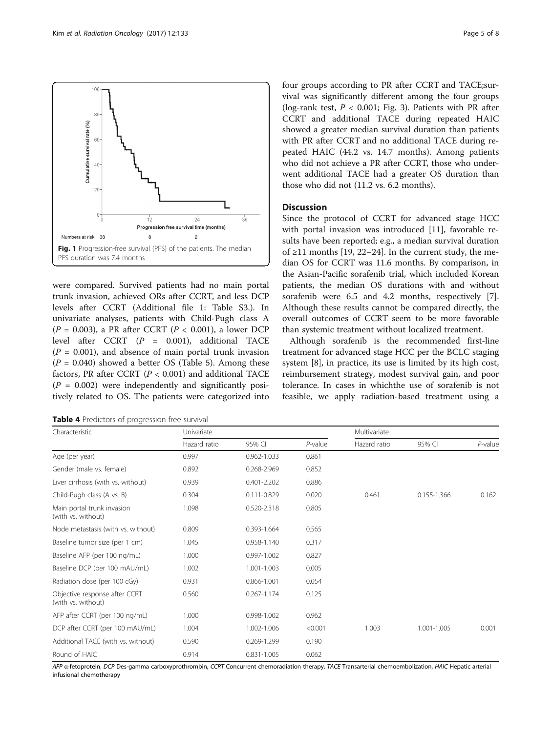<span id="page-4-0"></span>

were compared. Survived patients had no main portal trunk invasion, achieved ORs after CCRT, and less DCP levels after CCRT (Additional file [1](#page-6-0): Table S3.). In univariate analyses, patients with Child-Pugh class A  $(P = 0.003)$ , a PR after CCRT  $(P < 0.001)$ , a lower DCP level after CCRT  $(P = 0.001)$ , additional TACE  $(P = 0.001)$ , and absence of main portal trunk invasion  $(P = 0.040)$  showed a better OS (Table [5\)](#page-5-0). Among these factors, PR after CCRT ( $P < 0.001$ ) and additional TACE  $(P = 0.002)$  were independently and significantly positively related to OS. The patients were categorized into four groups according to PR after CCRT and TACE;survival was significantly different among the four groups (log-rank test,  $P < 0.001$ ; Fig. [3\)](#page-6-0). Patients with PR after CCRT and additional TACE during repeated HAIC showed a greater median survival duration than patients with PR after CCRT and no additional TACE during repeated HAIC (44.2 vs. 14.7 months). Among patients who did not achieve a PR after CCRT, those who underwent additional TACE had a greater OS duration than those who did not (11.2 vs. 6.2 months).

# **Discussion**

Since the protocol of CCRT for advanced stage HCC with portal invasion was introduced [[11\]](#page-7-0), favorable results have been reported; e.g., a median survival duration of ≥11 months [[19, 22](#page-7-0)–[24](#page-7-0)]. In the current study, the median OS for CCRT was 11.6 months. By comparison, in the Asian-Pacific sorafenib trial, which included Korean patients, the median OS durations with and without sorafenib were 6.5 and 4.2 months, respectively [\[7](#page-7-0)]. Although these results cannot be compared directly, the overall outcomes of CCRT seem to be more favorable than systemic treatment without localized treatment.

Although sorafenib is the recommended first-line treatment for advanced stage HCC per the BCLC staging system [[8\]](#page-7-0), in practice, its use is limited by its high cost, reimbursement strategy, modest survival gain, and poor tolerance. In cases in whichthe use of sorafenib is not feasible, we apply radiation-based treatment using a

Table 4 Predictors of progression free survival

| Characteristic                                      | Univariate   |                 |            | Multivariate |             |            |
|-----------------------------------------------------|--------------|-----------------|------------|--------------|-------------|------------|
|                                                     | Hazard ratio | 95% CI          | $P$ -value | Hazard ratio | 95% CI      | $P$ -value |
| Age (per year)                                      | 0.997        | 0.962-1.033     | 0.861      |              |             |            |
| Gender (male vs. female)                            | 0.892        | 0.268-2.969     | 0.852      |              |             |            |
| Liver cirrhosis (with vs. without)                  | 0.939        | $0.401 - 2.202$ | 0.886      |              |             |            |
| Child-Pugh class (A vs. B)                          | 0.304        | 0.111-0.829     | 0.020      | 0.461        | 0.155-1.366 | 0.162      |
| Main portal trunk invasion<br>(with vs. without)    | 1.098        | 0.520-2.318     | 0.805      |              |             |            |
| Node metastasis (with vs. without)                  | 0.809        | 0.393-1.664     | 0.565      |              |             |            |
| Baseline tumor size (per 1 cm)                      | 1.045        | 0.958-1.140     | 0.317      |              |             |            |
| Baseline AFP (per 100 ng/mL)                        | 1.000        | 0.997-1.002     | 0.827      |              |             |            |
| Baseline DCP (per 100 mAU/mL)                       | 1.002        | 1.001-1.003     | 0.005      |              |             |            |
| Radiation dose (per 100 cGy)                        | 0.931        | 0.866-1.001     | 0.054      |              |             |            |
| Objective response after CCRT<br>(with vs. without) | 0.560        | $0.267 - 1.174$ | 0.125      |              |             |            |
| AFP after CCRT (per 100 ng/mL)                      | 1.000        | 0.998-1.002     | 0.962      |              |             |            |
| DCP after CCRT (per 100 mAU/mL)                     | 1.004        | 1.002-1.006     | < 0.001    | 1.003        | 1.001-1.005 | 0.001      |
| Additional TACE (with vs. without)                  | 0.590        | 0.269-1.299     | 0.190      |              |             |            |
| Round of HAIC                                       | 0.914        | 0.831-1.005     | 0.062      |              |             |            |

AFP α-fetoprotein, DCP Des-gamma carboxyprothrombin, CCRT Concurrent chemoradiation therapy, TACE Transarterial chemoembolization, HAIC Hepatic arterial infusional chemotherapy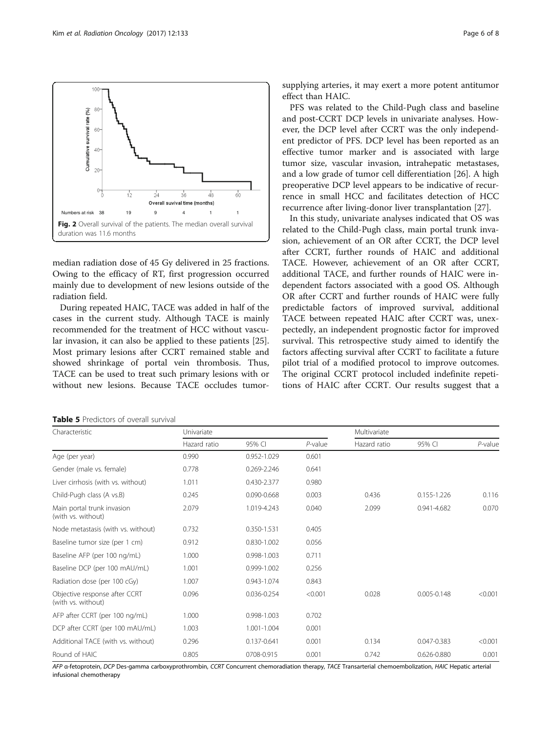<span id="page-5-0"></span>

median radiation dose of 45 Gy delivered in 25 fractions. Owing to the efficacy of RT, first progression occurred mainly due to development of new lesions outside of the radiation field.

During repeated HAIC, TACE was added in half of the cases in the current study. Although TACE is mainly recommended for the treatment of HCC without vascular invasion, it can also be applied to these patients [\[25](#page-7-0)]. Most primary lesions after CCRT remained stable and showed shrinkage of portal vein thrombosis. Thus, TACE can be used to treat such primary lesions with or without new lesions. Because TACE occludes tumorsupplying arteries, it may exert a more potent antitumor effect than HAIC.

PFS was related to the Child-Pugh class and baseline and post-CCRT DCP levels in univariate analyses. However, the DCP level after CCRT was the only independent predictor of PFS. DCP level has been reported as an effective tumor marker and is associated with large tumor size, vascular invasion, intrahepatic metastases, and a low grade of tumor cell differentiation [[26\]](#page-7-0). A high preoperative DCP level appears to be indicative of recurrence in small HCC and facilitates detection of HCC recurrence after living-donor liver transplantation [[27\]](#page-7-0).

In this study, univariate analyses indicated that OS was related to the Child-Pugh class, main portal trunk invasion, achievement of an OR after CCRT, the DCP level after CCRT, further rounds of HAIC and additional TACE. However, achievement of an OR after CCRT, additional TACE, and further rounds of HAIC were independent factors associated with a good OS. Although OR after CCRT and further rounds of HAIC were fully predictable factors of improved survival, additional TACE between repeated HAIC after CCRT was, unexpectedly, an independent prognostic factor for improved survival. This retrospective study aimed to identify the factors affecting survival after CCRT to facilitate a future pilot trial of a modified protocol to improve outcomes. The original CCRT protocol included indefinite repetitions of HAIC after CCRT. Our results suggest that a

| <b>Table 5</b> Predictors of overall survival |  |
|-----------------------------------------------|--|
|-----------------------------------------------|--|

| Characteristic                                      | Univariate   |                 |            | Multivariate |             |            |
|-----------------------------------------------------|--------------|-----------------|------------|--------------|-------------|------------|
|                                                     | Hazard ratio | 95% CI          | $P$ -value | Hazard ratio | 95% CI      | $P$ -value |
| Age (per year)                                      | 0.990        | 0.952-1.029     | 0.601      |              |             |            |
| Gender (male vs. female)                            | 0.778        | 0.269-2.246     | 0.641      |              |             |            |
| Liver cirrhosis (with vs. without)                  | 1.011        | 0.430-2.377     | 0.980      |              |             |            |
| Child-Pugh class (A vs.B)                           | 0.245        | $0.090 - 0.668$ | 0.003      | 0.436        | 0.155-1.226 | 0.116      |
| Main portal trunk invasion<br>(with vs. without)    | 2.079        | 1.019-4.243     | 0.040      | 2.099        | 0.941-4.682 | 0.070      |
| Node metastasis (with vs. without)                  | 0.732        | 0.350-1.531     | 0.405      |              |             |            |
| Baseline tumor size (per 1 cm)                      | 0.912        | 0.830-1.002     | 0.056      |              |             |            |
| Baseline AFP (per 100 ng/mL)                        | 1.000        | 0.998-1.003     | 0.711      |              |             |            |
| Baseline DCP (per 100 mAU/mL)                       | 1.001        | 0.999-1.002     | 0.256      |              |             |            |
| Radiation dose (per 100 cGy)                        | 1.007        | 0.943-1.074     | 0.843      |              |             |            |
| Objective response after CCRT<br>(with vs. without) | 0.096        | 0.036-0.254     | < 0.001    | 0.028        | 0.005-0.148 | < 0.001    |
| AFP after CCRT (per 100 ng/mL)                      | 1.000        | 0.998-1.003     | 0.702      |              |             |            |
| DCP after CCRT (per 100 mAU/mL)                     | 1.003        | 1.001-1.004     | 0.001      |              |             |            |
| Additional TACE (with vs. without)                  | 0.296        | 0.137-0.641     | 0.001      | 0.134        | 0.047-0.383 | < 0.001    |
| Round of HAIC                                       | 0.805        | 0708-0.915      | 0.001      | 0.742        | 0.626-0.880 | 0.001      |

AFP α-fetoprotein, DCP Des-gamma carboxyprothrombin, CCRT Concurrent chemoradiation therapy, TACE Transarterial chemoembolization, HAIC Hepatic arterial infusional chemotherapy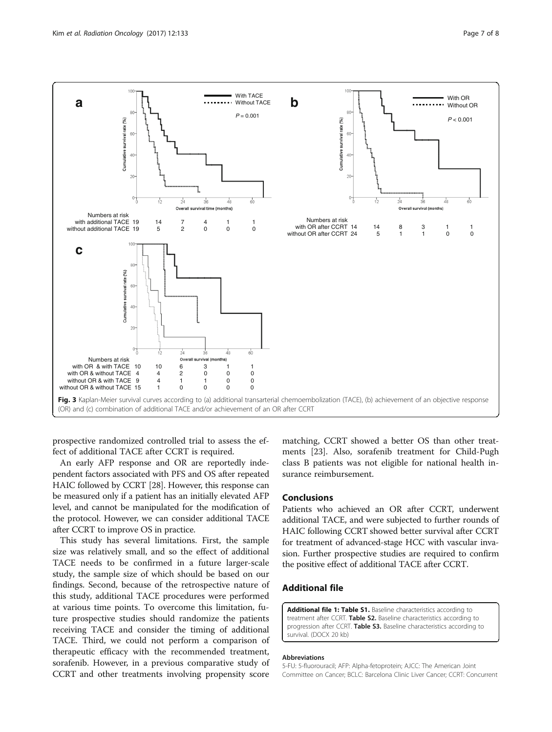<span id="page-6-0"></span>

prospective randomized controlled trial to assess the effect of additional TACE after CCRT is required.

An early AFP response and OR are reportedly independent factors associated with PFS and OS after repeated HAIC followed by CCRT [[28](#page-7-0)]. However, this response can be measured only if a patient has an initially elevated AFP level, and cannot be manipulated for the modification of the protocol. However, we can consider additional TACE after CCRT to improve OS in practice.

This study has several limitations. First, the sample size was relatively small, and so the effect of additional TACE needs to be confirmed in a future larger-scale study, the sample size of which should be based on our findings. Second, because of the retrospective nature of this study, additional TACE procedures were performed at various time points. To overcome this limitation, future prospective studies should randomize the patients receiving TACE and consider the timing of additional TACE. Third, we could not perform a comparison of therapeutic efficacy with the recommended treatment, sorafenib. However, in a previous comparative study of CCRT and other treatments involving propensity score

matching, CCRT showed a better OS than other treatments [[23](#page-7-0)]. Also, sorafenib treatment for Child-Pugh class B patients was not eligible for national health insurance reimbursement.

# Conclusions

Patients who achieved an OR after CCRT, underwent additional TACE, and were subjected to further rounds of HAIC following CCRT showed better survival after CCRT for treatment of advanced-stage HCC with vascular invasion. Further prospective studies are required to confirm the positive effect of additional TACE after CCRT.

# Additional file

[Additional file 1: Table S1.](dx.doi.org/10.1186/s13014-017-0873-1) Baseline characteristics according to treatment after CCRT. Table S2. Baseline characteristics according to progression after CCRT. Table S3. Baseline characteristics according to survival. (DOCX 20 kb)

### Abbreviations

5-FU: 5-fluorouracil; AFP: Alpha-fetoprotein; AJCC: The American Joint Committee on Cancer; BCLC: Barcelona Clinic Liver Cancer; CCRT: Concurrent